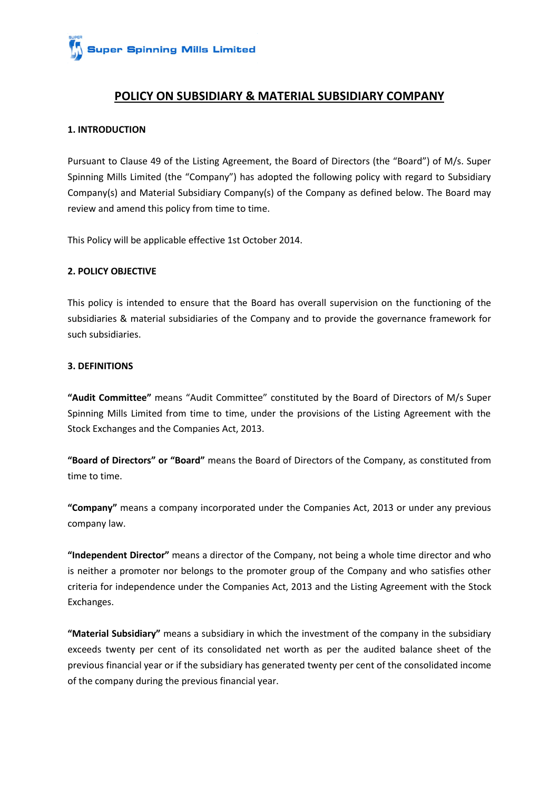

## **POLICY ON SUBSIDIARY & MATERIAL SUBSIDIARY COMPANY**

#### **1. INTRODUCTION**

Pursuant to Clause 49 of the Listing Agreement, the Board of Directors (the "Board") of M/s. Super Spinning Mills Limited (the "Company") has adopted the following policy with regard to Subsidiary Company(s) and Material Subsidiary Company(s) of the Company as defined below. The Board may review and amend this policy from time to time.

This Policy will be applicable effective 1st October 2014.

### **2. POLICY OBJECTIVE**

This policy is intended to ensure that the Board has overall supervision on the functioning of the subsidiaries & material subsidiaries of the Company and to provide the governance framework for such subsidiaries.

#### **3. DEFINITIONS**

**"Audit Committee"** means "Audit Committee" constituted by the Board of Directors of M/s Super Spinning Mills Limited from time to time, under the provisions of the Listing Agreement with the Stock Exchanges and the Companies Act, 2013.

**"Board of Directors" or "Board"** means the Board of Directors of the Company, as constituted from time to time.

**"Company"** means a company incorporated under the Companies Act, 2013 or under any previous company law.

**"Independent Director"** means a director of the Company, not being a whole time director and who is neither a promoter nor belongs to the promoter group of the Company and who satisfies other criteria for independence under the Companies Act, 2013 and the Listing Agreement with the Stock Exchanges.

**"Material Subsidiary"** means a subsidiary in which the investment of the company in the subsidiary exceeds twenty per cent of its consolidated net worth as per the audited balance sheet of the previous financial year or if the subsidiary has generated twenty per cent of the consolidated income of the company during the previous financial year.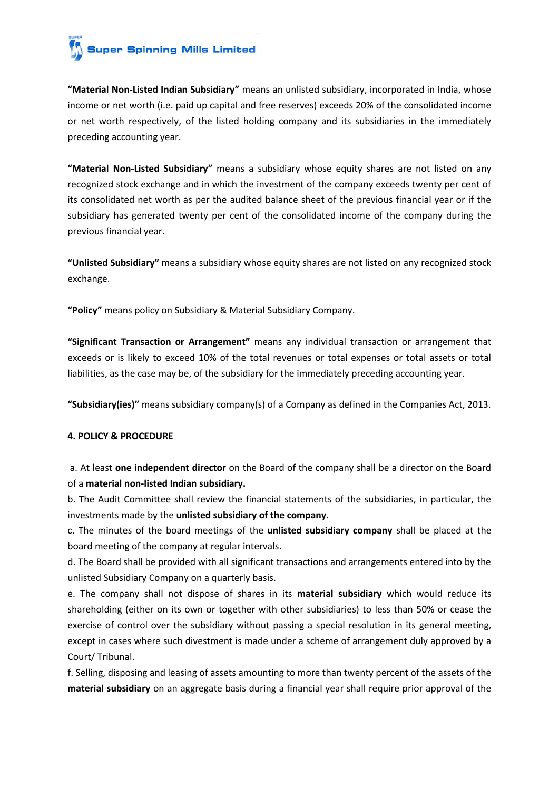# **Super Spinning Mills Limited**

**"Material Non-Listed Indian Subsidiary"** means an unlisted subsidiary, incorporated in India, whose income or net worth (i.e. paid up capital and free reserves) exceeds 20% of the consolidated income or net worth respectively, of the listed holding company and its subsidiaries in the immediately preceding accounting year.

**"Material Non-Listed Subsidiary"** means a subsidiary whose equity shares are not listed on any recognized stock exchange and in which the investment of the company exceeds twenty per cent of its consolidated net worth as per the audited balance sheet of the previous financial year or if the subsidiary has generated twenty per cent of the consolidated income of the company during the previous financial year.

**"Unlisted Subsidiary"** means a subsidiary whose equity shares are not listed on any recognized stock exchange.

**"Policy"** means policy on Subsidiary & Material Subsidiary Company.

**"Significant Transaction or Arrangement"** means any individual transaction or arrangement that exceeds or is likely to exceed 10% of the total revenues or total expenses or total assets or total liabilities, as the case may be, of the subsidiary for the immediately preceding accounting year.

**"Subsidiary(ies)"** means subsidiary company(s) of a Company as defined in the Companies Act, 2013.

### **4. POLICY & PROCEDURE**

a. At least **one independent director** on the Board of the company shall be a director on the Board of a **material non-listed Indian subsidiary.**

b. The Audit Committee shall review the financial statements of the subsidiaries, in particular, the investments made by the **unlisted subsidiary of the company**.

c. The minutes of the board meetings of the **unlisted subsidiary company** shall be placed at the board meeting of the company at regular intervals.

d. The Board shall be provided with all significant transactions and arrangements entered into by the unlisted Subsidiary Company on a quarterly basis.

e. The company shall not dispose of shares in its **material subsidiary** which would reduce its shareholding (either on its own or together with other subsidiaries) to less than 50% or cease the exercise of control over the subsidiary without passing a special resolution in its general meeting, except in cases where such divestment is made under a scheme of arrangement duly approved by a Court/ Tribunal.

f. Selling, disposing and leasing of assets amounting to more than twenty percent of the assets of the **material subsidiary** on an aggregate basis during a financial year shall require prior approval of the